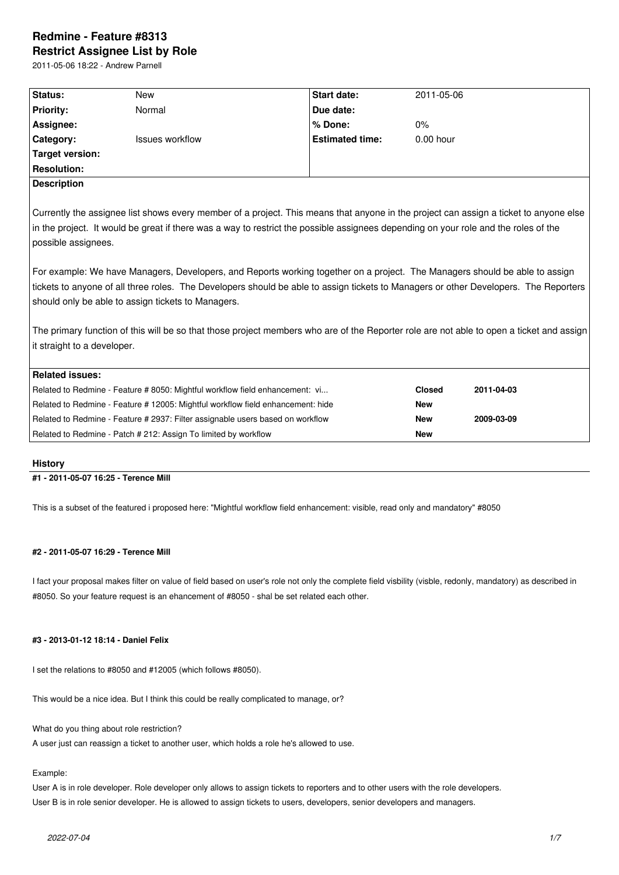# **Redmine - Feature #8313 Restrict Assignee List by Role**

2011-05-06 18:22 - Andrew Parnell

| Status:                                                                                                                                  | <b>New</b>                                                                   | <b>Start date:</b>     | 2011-05-06    |            |
|------------------------------------------------------------------------------------------------------------------------------------------|------------------------------------------------------------------------------|------------------------|---------------|------------|
| <b>Priority:</b>                                                                                                                         | Normal                                                                       | Due date:              |               |            |
| Assignee:                                                                                                                                |                                                                              | % Done:                | $0\%$         |            |
| Category:                                                                                                                                | <b>Issues workflow</b>                                                       | <b>Estimated time:</b> | $0.00$ hour   |            |
| <b>Target version:</b>                                                                                                                   |                                                                              |                        |               |            |
| <b>Resolution:</b>                                                                                                                       |                                                                              |                        |               |            |
| <b>Description</b>                                                                                                                       |                                                                              |                        |               |            |
| Currently the assignee list shows every member of a project. This means that anyone in the project can assign a ticket to anyone else    |                                                                              |                        |               |            |
| in the project. It would be great if there was a way to restrict the possible assignees depending on your role and the roles of the      |                                                                              |                        |               |            |
|                                                                                                                                          |                                                                              |                        |               |            |
| possible assignees.                                                                                                                      |                                                                              |                        |               |            |
|                                                                                                                                          |                                                                              |                        |               |            |
| For example: We have Managers, Developers, and Reports working together on a project. The Managers should be able to assign              |                                                                              |                        |               |            |
| tickets to anyone of all three roles. The Developers should be able to assign tickets to Managers or other Developers. The Reporters     |                                                                              |                        |               |            |
| should only be able to assign tickets to Managers.                                                                                       |                                                                              |                        |               |            |
|                                                                                                                                          |                                                                              |                        |               |            |
| The primary function of this will be so that those project members who are of the Reporter role are not able to open a ticket and assign |                                                                              |                        |               |            |
| it straight to a developer.                                                                                                              |                                                                              |                        |               |            |
|                                                                                                                                          |                                                                              |                        |               |            |
| <b>Related issues:</b>                                                                                                                   |                                                                              |                        |               |            |
|                                                                                                                                          | Related to Redmine - Feature # 8050: Mightful workflow field enhancement: vi |                        | <b>Closed</b> | 2011-04-03 |
| Related to Redmine - Feature # 12005: Mightful workflow field enhancement: hide                                                          |                                                                              |                        | <b>New</b>    |            |
| Related to Redmine - Feature # 2937: Filter assignable users based on workflow                                                           |                                                                              |                        | <b>New</b>    | 2009-03-09 |
| Related to Redmine - Patch # 212: Assign To limited by workflow                                                                          |                                                                              |                        | <b>New</b>    |            |
|                                                                                                                                          |                                                                              |                        |               |            |

## **History**

## **#1 - 2011-05-07 16:25 - Terence Mill**

This is a subset of the featured i proposed here: "Mightful workflow field enhancement: visible, read only and mandatory" #8050

## **#2 - 2011-05-07 16:29 - Terence Mill**

I fact your proposal makes filter on value of field based on user's role not only the complete field visbility (visble, redonly, mandatory) as described in #8050. So your feature request is an ehancement of #8050 - shal be set related each other.

## **#3 - 2013-01-12 18:14 - Daniel Felix**

I set the relations to #8050 and #12005 (which follows #8050).

This would be a nice idea. But I think this could be really complicated to manage, or?

What do you thing about role restriction?

A user just can reassign a ticket to another user, which holds a role he's allowed to use.

## Example:

User A is in role developer. Role developer only allows to assign tickets to reporters and to other users with the role developers. User B is in role senior developer. He is allowed to assign tickets to users, developers, senior developers and managers.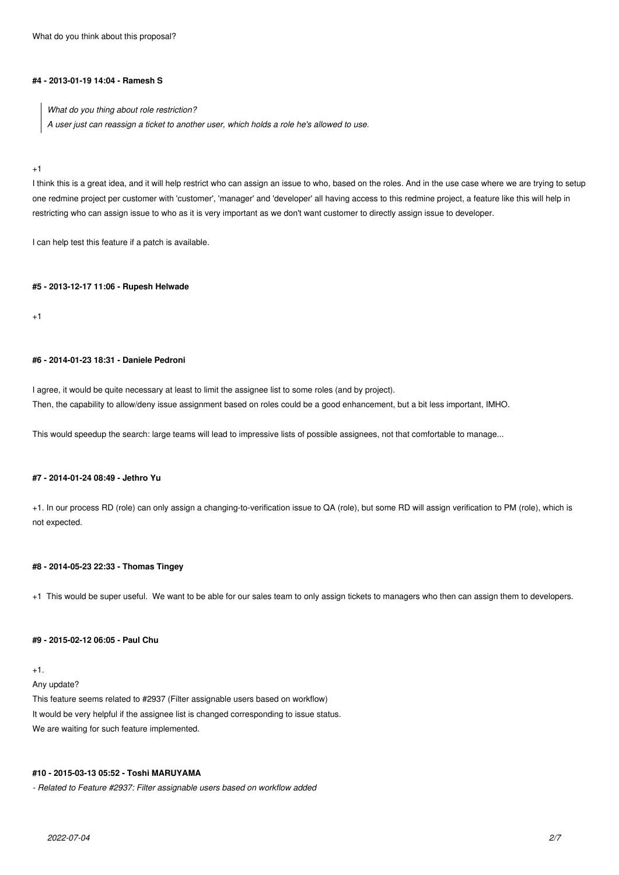What do you think about this proposal?

#### **#4 - 2013-01-19 14:04 - Ramesh S**

*What do you thing about role restriction? A user just can reassign a ticket to another user, which holds a role he's allowed to use.*

#### +1

I think this is a great idea, and it will help restrict who can assign an issue to who, based on the roles. And in the use case where we are trying to setup one redmine project per customer with 'customer', 'manager' and 'developer' all having access to this redmine project, a feature like this will help in restricting who can assign issue to who as it is very important as we don't want customer to directly assign issue to developer.

I can help test this feature if a patch is available.

#### **#5 - 2013-12-17 11:06 - Rupesh Helwade**

 $+1$ 

## **#6 - 2014-01-23 18:31 - Daniele Pedroni**

I agree, it would be quite necessary at least to limit the assignee list to some roles (and by project). Then, the capability to allow/deny issue assignment based on roles could be a good enhancement, but a bit less important, IMHO.

This would speedup the search: large teams will lead to impressive lists of possible assignees, not that comfortable to manage...

## **#7 - 2014-01-24 08:49 - Jethro Yu**

+1. In our process RD (role) can only assign a changing-to-verification issue to QA (role), but some RD will assign verification to PM (role), which is not expected.

## **#8 - 2014-05-23 22:33 - Thomas Tingey**

+1 This would be super useful. We want to be able for our sales team to only assign tickets to managers who then can assign them to developers.

### **#9 - 2015-02-12 06:05 - Paul Chu**

 $+1$ .

Any update?

This feature seems related to #2937 (Filter assignable users based on workflow) It would be very helpful if the assignee list is changed corresponding to issue status. We are waiting for such feature implemented.

## **#10 - 2015-03-13 05:52 - Toshi MARUYAMA**

*- Related to Feature #2937: Filter assignable users based on workflow added*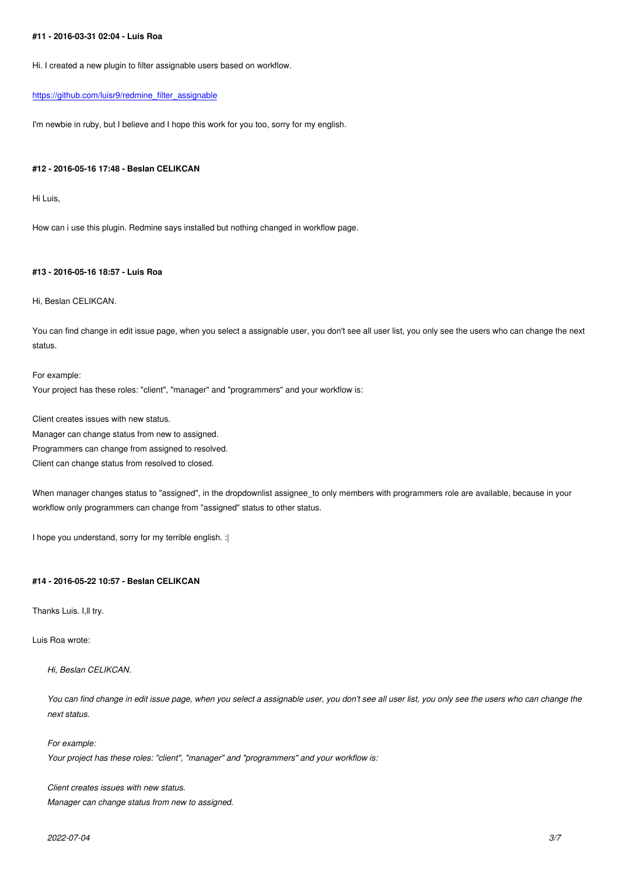Hi. I created a new plugin to filter assignable users based on workflow.

#### https://github.com/luisr9/redmine\_filter\_assignable

I'm newbie in ruby, but I believe and I hope this work for you too, sorry for my english.

#### **#12 - 2016-05-16 17:48 - Beslan CELIKCAN**

Hi Luis,

How can i use this plugin. Redmine says installed but nothing changed in workflow page.

## **#13 - 2016-05-16 18:57 - Luis Roa**

Hi, Beslan CELIKCAN.

You can find change in edit issue page, when you select a assignable user, you don't see all user list, you only see the users who can change the next status.

For example: Your project has these roles: "client", "manager" and "programmers" and your workflow is:

Client creates issues with new status.

Manager can change status from new to assigned.

Programmers can change from assigned to resolved.

Client can change status from resolved to closed.

When manager changes status to "assigned", in the dropdownlist assignee\_to only members with programmers role are available, because in your workflow only programmers can change from "assigned" status to other status.

I hope you understand, sorry for my terrible english. :|

#### **#14 - 2016-05-22 10:57 - Beslan CELIKCAN**

Thanks Luis. I,ll try.

Luis Roa wrote:

*Hi, Beslan CELIKCAN.*

*You can find change in edit issue page, when you select a assignable user, you don't see all user list, you only see the users who can change the next status.*

*For example: Your project has these roles: "client", "manager" and "programmers" and your workflow is:*

*Client creates issues with new status. Manager can change status from new to assigned.*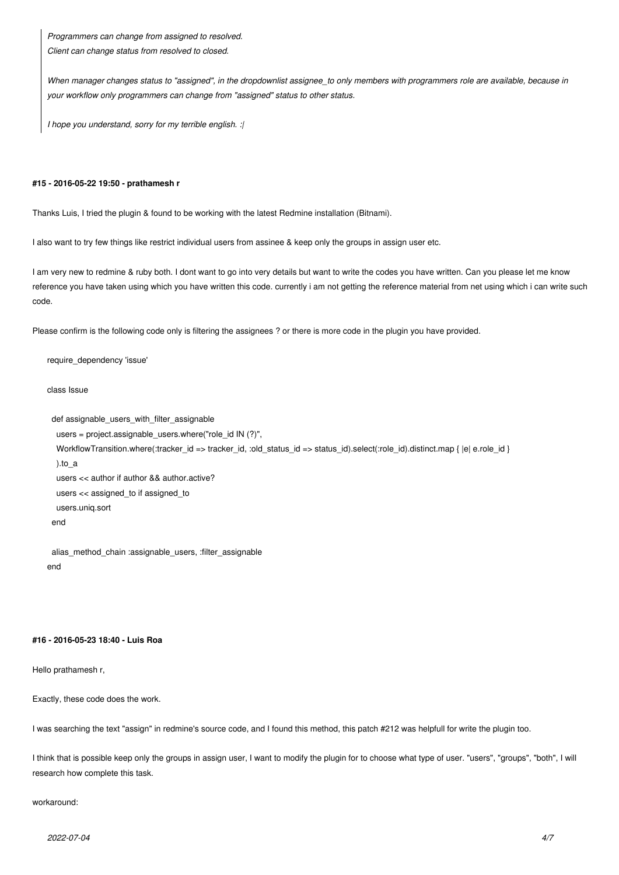*Programmers can change from assigned to resolved. Client can change status from resolved to closed.*

*When manager changes status to "assigned", in the dropdownlist assignee\_to only members with programmers role are available, because in your workflow only programmers can change from "assigned" status to other status.*

*I hope you understand, sorry for my terrible english. :|*

#### **#15 - 2016-05-22 19:50 - prathamesh r**

Thanks Luis, I tried the plugin & found to be working with the latest Redmine installation (Bitnami).

I also want to try few things like restrict individual users from assinee & keep only the groups in assign user etc.

I am very new to redmine & ruby both. I dont want to go into very details but want to write the codes you have written. Can you please let me know reference you have taken using which you have written this code. currently i am not getting the reference material from net using which i can write such code.

Please confirm is the following code only is filtering the assignees ? or there is more code in the plugin you have provided.

require\_dependency 'issue'

class Issue

```
 def assignable_users_with_filter_assignable
```

```
 users = project.assignable_users.where("role_id IN (?)",
 WorkflowTransition.where(:tracker_id => tracker_id, :old_status_id => status_id).select(:role_id).distinct.map { |e| e.role_id }
  ).to_a
  users << author if author && author.active?
  users << assigned_to if assigned_to
  users.uniq.sort
 end
```
 alias\_method\_chain :assignable\_users, :filter\_assignable end

#### **#16 - 2016-05-23 18:40 - Luis Roa**

Hello prathamesh r,

Exactly, these code does the work.

I was searching the text "assign" in redmine's source code, and I found this method, this patch #212 was helpfull for write the plugin too.

I think that is possible keep only the groups in assign user, I want to modify the plugin for to choose what type of user. "users", "groups", "both", I will research how complete this task.

## workaround: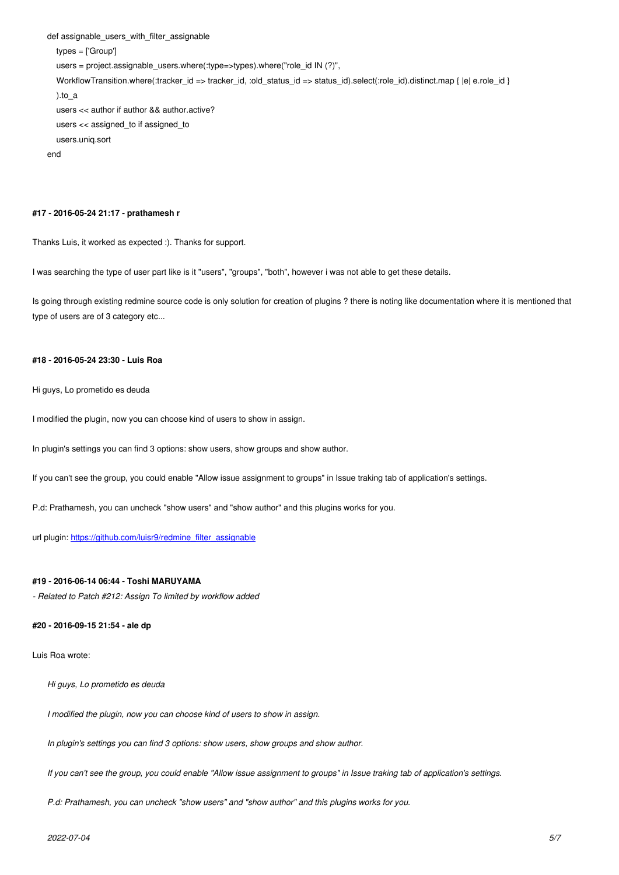```
 types = ['Group'] 
   users = project.assignable_users.where(:type=>types).where("role_id IN (?)",
  WorkflowTransition.where(:tracker_id => tracker_id, :old_status_id => status_id).select(:role_id).distinct.map { |e| e.role_id }
   ).to_a
   users << author if author && author.active?
   users << assigned_to if assigned_to
   users.uniq.sort
end
```
#### **#17 - 2016-05-24 21:17 - prathamesh r**

Thanks Luis, it worked as expected :). Thanks for support.

I was searching the type of user part like is it "users", "groups", "both", however i was not able to get these details.

Is going through existing redmine source code is only solution for creation of plugins ? there is noting like documentation where it is mentioned that type of users are of 3 category etc...

## **#18 - 2016-05-24 23:30 - Luis Roa**

Hi guys, Lo prometido es deuda

I modified the plugin, now you can choose kind of users to show in assign.

In plugin's settings you can find 3 options: show users, show groups and show author.

If you can't see the group, you could enable "Allow issue assignment to groups" in Issue traking tab of application's settings.

P.d: Prathamesh, you can uncheck "show users" and "show author" and this plugins works for you.

url plugin: https://github.com/luisr9/redmine\_filter\_assignable

#### **#19 - 201[6-06-14 06:44 - Toshi MARUYAMA](https://github.com/luisr9/redmine_filter_assignable)**

*- Related to Patch #212: Assign To limited by workflow added*

#### **#20 - 2016-09-15 21:54 - ale dp**

Luis Roa wrote:

*Hi guys, Lo prometido es deuda*

*I modified the plugin, now you can choose kind of users to show in assign.*

*In plugin's settings you can find 3 options: show users, show groups and show author.*

*If you can't see the group, you could enable "Allow issue assignment to groups" in Issue traking tab of application's settings.*

*P.d: Prathamesh, you can uncheck "show users" and "show author" and this plugins works for you.*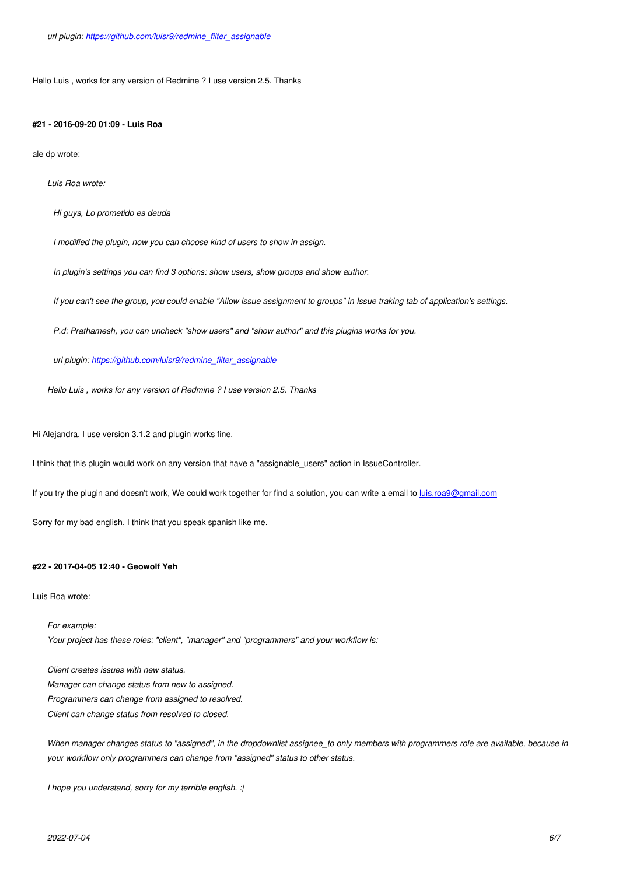## **#21 - 2016-09-20 01:09 - Luis Roa**

ale dp wrote:

*Luis Roa wrote:*

*Hi guys, Lo prometido es deuda*

*I modified the plugin, now you can choose kind of users to show in assign.*

*In plugin's settings you can find 3 options: show users, show groups and show author.*

*If you can't see the group, you could enable "Allow issue assignment to groups" in Issue traking tab of application's settings.*

*P.d: Prathamesh, you can uncheck "show users" and "show author" and this plugins works for you.*

*url plugin: https://github.com/luisr9/redmine\_filter\_assignable*

*Hello Luis , works for any version of Redmine ? I use version 2.5. Thanks*

Hi Alejandra, I use version 3.1.2 and plugin works fine.

I think that this plugin would work on any version that have a "assignable\_users" action in IssueController.

If you try the plugin and doesn't work, We could work together for find a solution, you can write a email to *luis.roa9@gmail.com* 

Sorry for my bad english, I think that you speak spanish like me.

## **#22 - 2017-04-05 12:40 - Geowolf Yeh**

Luis Roa wrote:

*For example: Your project has these roles: "client", "manager" and "programmers" and your workflow is:*

*Client creates issues with new status. Manager can change status from new to assigned. Programmers can change from assigned to resolved. Client can change status from resolved to closed.*

*When manager changes status to "assigned", in the dropdownlist assignee\_to only members with programmers role are available, because in your workflow only programmers can change from "assigned" status to other status.*

*I hope you understand, sorry for my terrible english. :|*